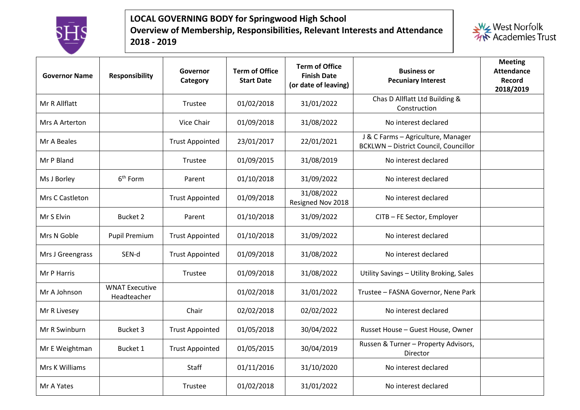

## **LOCAL GOVERNING BODY for Springwood High School Overview of Membership, Responsibilities, Relevant Interests and Attendance 2018 - 2019**



| <b>Governor Name</b> | <b>Responsibility</b>                | Governor<br>Category   | <b>Term of Office</b><br><b>Start Date</b> | <b>Term of Office</b><br><b>Finish Date</b><br>(or date of leaving) | <b>Business or</b><br><b>Pecuniary Interest</b>                                  | <b>Meeting</b><br><b>Attendance</b><br><b>Record</b><br>2018/2019 |
|----------------------|--------------------------------------|------------------------|--------------------------------------------|---------------------------------------------------------------------|----------------------------------------------------------------------------------|-------------------------------------------------------------------|
| Mr R Allflatt        |                                      | <b>Trustee</b>         | 01/02/2018                                 | 31/01/2022                                                          | Chas D Allflatt Ltd Building &<br>Construction                                   |                                                                   |
| Mrs A Arterton       |                                      | Vice Chair             | 01/09/2018                                 | 31/08/2022                                                          | No interest declared                                                             |                                                                   |
| Mr A Beales          |                                      | <b>Trust Appointed</b> | 23/01/2017                                 | 22/01/2021                                                          | J & C Farms - Agriculture, Manager<br><b>BCKLWN-District Council, Councillor</b> |                                                                   |
| Mr P Bland           |                                      | <b>Trustee</b>         | 01/09/2015                                 | 31/08/2019                                                          | No interest declared                                                             |                                                                   |
| Ms J Borley          | 6 <sup>th</sup> Form                 | Parent                 | 01/10/2018                                 | 31/09/2022                                                          | No interest declared                                                             |                                                                   |
| Mrs C Castleton      |                                      | <b>Trust Appointed</b> | 01/09/2018                                 | 31/08/2022<br>Resigned Nov 2018                                     | No interest declared                                                             |                                                                   |
| Mr S Elvin           | <b>Bucket 2</b>                      | Parent                 | 01/10/2018                                 | 31/09/2022                                                          | CITB - FE Sector, Employer                                                       |                                                                   |
| Mrs N Goble          | <b>Pupil Premium</b>                 | <b>Trust Appointed</b> | 01/10/2018                                 | 31/09/2022                                                          | No interest declared                                                             |                                                                   |
| Mrs J Greengrass     | SEN-d                                | <b>Trust Appointed</b> | 01/09/2018                                 | 31/08/2022                                                          | No interest declared                                                             |                                                                   |
| Mr P Harris          |                                      | Trustee                | 01/09/2018                                 | 31/08/2022                                                          | Utility Savings - Utility Broking, Sales                                         |                                                                   |
| Mr A Johnson         | <b>WNAT Executive</b><br>Headteacher |                        | 01/02/2018                                 | 31/01/2022                                                          | Trustee - FASNA Governor, Nene Park                                              |                                                                   |
| Mr R Livesey         |                                      | Chair                  | 02/02/2018                                 | 02/02/2022                                                          | No interest declared                                                             |                                                                   |
| Mr R Swinburn        | <b>Bucket 3</b>                      | <b>Trust Appointed</b> | 01/05/2018                                 | 30/04/2022                                                          | Russet House - Guest House, Owner                                                |                                                                   |
| Mr E Weightman       | <b>Bucket 1</b>                      | <b>Trust Appointed</b> | 01/05/2015                                 | 30/04/2019                                                          | Russen & Turner - Property Advisors,<br>Director                                 |                                                                   |
| Mrs K Williams       |                                      | Staff                  | 01/11/2016                                 | 31/10/2020                                                          | No interest declared                                                             |                                                                   |
| Mr A Yates           |                                      | Trustee                | 01/02/2018                                 | 31/01/2022                                                          | No interest declared                                                             |                                                                   |